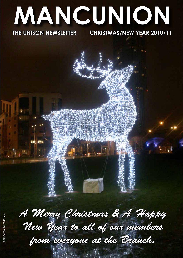# **MANCUNION**

## **THE UNISON NEWSLETTER**

JW)

### **CHRISTMAS/NEW YEAR 2010/11**

*A Merry Christmas & A Happy New Year to all of our members from everyone at the Branch.*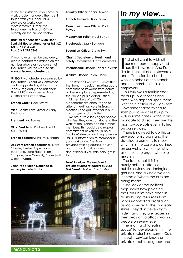In the first instance, if you have a work problem or query then get in touch with your local UNISON steward or workplace representative. Otherwise, telephone the Branch Office directly on the number below.

#### **UNISON Manchester, Sixth Floor, Sunlight House, Manchester M3 3JZ Tel: 0161 254 7500 Fax: 0161 274 7365**

If you have a membership query, please contact the Branch on the number above or you can email the Branch via the website at: **www.unisonmanchester.org**

UNISON Manchester is organised by the Branch Executive Committee and is supported by skilled staff locally, regionally and nationally. The UNISON Manchester Branch Officers are listed below.

**Branch Chair:** Noel Bayley

**Vice Chairs:** Kate Russell & Eddy Redmond

**President:** Mo Baines

**Vice Presidents:** Rodney Lund & Kate Russell

**Branch Secretary:** Pat McDonagh

**Assistant Branch Secretaries:** Debs Christie, Evelyn Doyle, Eddy Redmond, Jane Slater, Brian Stangoe, Julie Connolly, Steve Swift & Rena Wood.

**Joint Trade Union Nominee to**  *m people*: Pete Banks

**Equality Officer:** Sonia Stewart

**Branch Treasurer:** Bob Oram

**Communications Officer:** Rod Fawcett

*Mancunion* **Editor**: Noel Bayley

**Proofreader***:* Mark Bowden

**Education Officer:** Steve Swift

**Chair & Secretary of Health and Safety Committee: Geoff Archibald** 

**International Officer:** Isobel McVicar

**Welfare Officer:** Helen Clarke

The Branch Executive Committee, the Branch's decision-making body, comprises of stewards from across all the workplaces represented by the Branch plus elected Officers.

All members of UNISON Manchester are encouraged to attend meetings, vote in Branch elections and get involved in our campaigns and activities.

We are always looking for people who feel they can contribute to the work of the Branch and help other members. This could be a regular commitment or you could be a 'mailbox' steward and help pass on UNISON information to members in your workplace. The Branch provides training courses, advice and support for all our stewards and officers. If you can help, get in touch.

*Front & below: The landlord has provided these reindeers outside First Street. Photos: Noel Bayley*



# *In my view...*



**I** first of all want to wish all<br>our members a happy and<br>healthy New Year. And I'd<br>like to thank all of our stewards first of all want to wish all our members a happy and healthy New Year. And I'd and officers for their hard work on behalf of the Branch and our members in all of our employers.

This truly was a terrible year for our public services and those who depend upon them, with the election of a Con-Dem Government determined to slash public services by up to 40% in some cases, without any mandate to do so. They are the most savage cuts ever inflicted on our services.

There is no need to do this on any economic basis and the detailed arguments to show why this is the case are outlined on our website which we strive, as a union, to argue wherever possible.

The fact is that this is a purely political attack on public services on ideological grounds, and a vindictive one in terms of where the cuts are being made.

One look at the political map shows how polarised the Con-Dems have been in redistributing resources from Labour-controlled areas such as Manchester to the Tory leafy shires. They don't even try to hide it and they are brazen in their decision to attack working people on every level.

The mantra of 'creating space' for development in the private sector is nonsense. Cuts in public services knock on to private suppliers of goods and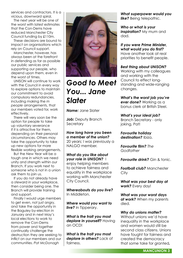services and contractors. It is a vicious, downward spiral.

The next year will be one of the worst with latest estimates that the Con-Dems have reduced Manchester City Council funding by £110m.

These decisions are bound to impact on organisations which rely on Council support.

Manchester, however, has always been at the forefront in defending as far as possible our public services and supporting our people, who depend upon them, even in the worst of times.

UNISON will continue to work with the Council in every way to explore options to maintain our commitment to avoid compulsory redundancies, including making the *m people* arrangements, that our members voted for, work effectively.

There will very soon be the option for people to take up voluntary severance if it is attractive for them, depending on their personal circumstances. Others may take the opportunity to take up new options for more flexible working arrangements.

But the New Year will be a tough one in which we need unity and strength within our Branch. If you work next to someone who is not in a union ask them to join us.

If you do not already have a steward in your workplace, then consider being one. The Branch will provide training and support.

Finally I would urge members to get even, not just angry, and take the opportunity in the Baguley by-election in January and in next May's local elections to work to remove the Con-Dems from power and together continually challenge the destruction they are seeking to inflict on our members and our communities. *Pat McDonagh*



## *Good to Meet You... Jane Slater*

*Name:* Jane Slater

*Job: Deputy Branch* **Secretary** 

*How long have you been a member of the union?*  20 years; I was previously a NALGO member.

*What do you like about your role in UNISON?* I enjoy helping members to achieve fairness and equality in the workplace working with Manchester City Council.

*Whereabouts do you live?* In Middleton.

*Where would you want to live?* In Tipperary.

*What is the trait you most deplore in yourself?* Having an OCD!

*What is the trait you most deplore in others?* Lack of fairness.

*What superpower would you*  **like?** Being telepathic.

*Who or what is your inspiration?* My mum and dad.

*If you were Prime Minister, what would you do first?*  Have another look at real priorities to benefit people.

#### *Best thing about UNISON?*

Working with my colleagues and working with the Council to effect longstanding and wide-ranging changes.

*What's the worst job you've ever done?* Working as a bonus clerk at British Steel.

*What's your ideal job?*  Branch Secretary - only joking, Pat!

*Favourite holiday destination?* Ibiza.

*Favourite film? The Godfather*

**Favourite drink?** Gin & tonic.

*Football club?* Manchester **City** 

*What was your best day at work?* Every day!

*What was your worst days at work?* When my parents died.

*Why do unions matter?* 

Without unions we'd have inequality in the workplace and women would still be second class citizens. Unions have fought for fairness and created the democracy that some take for granted*.*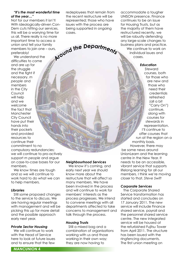#### *"It's the most wonderful time of the year…"*

Not for our members it isn't! With ideologically-driven Con-Dem cuts hitting our services, this will be a worrying time for us all. There really is no more important time to access a union and tell your family members to join one – ours, preferably!

We understand the difficulties to come and are up for the struggle and the fight if necessary. *m people* and members in the City Council will help and we welcome the fact that Manchester City Council have put their hands into their pockets and provided resources to continue their commitment to no compulsory redundancies; we will continue to pro-actively support *m people* and argue on case-to-case bases for our members.

We know times are tough and so we will continue to work hard to do what we can to help members.

#### *Libraries*

Still some proposed changes to the service to discuss. We are having regular meetings with management and will be picking this up for more detail and the possible approach early next year.

#### *Private Sector Housing*

We will continue to work with the Head of Service here to look at future issues and to ensure that the few

redeployees that remain from the recent restructure will be represented; those who have issues with the process are being supported in ongoing cases.

*A<sup>r</sup>oun<sup>d</sup> <sup>t</sup>h<sup>e</sup> <sup>D</sup>epartment<sup>s</sup>*

*Neighbourhood Services* We know it's coming, and early next year we should know more about the

restructure that will affect so many members. We have been involved in the process and will continue to work for members' interests as the process progresses. We intend to convene meetings with all departments affected to take concerns to management and

talk through the process.

Still a mixed bag and a combination of organisations working with us and those working in their own way; they are now having to

*Housing Trusts*

accommodate a tougher UNISON presence. Finance continues to be an issue for Housing Trusts, but as the majority of them have restructured recently, we will be robustly defending any large-scale changes to business plans and practice. We continue to work on individual issues and cases.

#### *Education*

Steward courses, both for those who are new and those who need their credentials refreshed (all a bit "Carry On") continue, along with courses for stewards in representation. I'll continue to offer courses that run at the region on a monthly basis.

However, there may be some news around UnionLearn and the learning centre in the New Year. It needs to be an accessible, vibrant service that supports lifelong learning for all our members. I think we're moving closer to that. *Steve Swift*

#### *Corporate Services*

The Corporate Shared Service transformation has started and concludes on 17 January 2011. The new service will include Finance shared service, payroll and the personnel shared service centre. The new integrated service will be housed at the refurbished Fujitsu Tower from April 2011. The structure has been issued with the ringfencing documents. The first union meeting on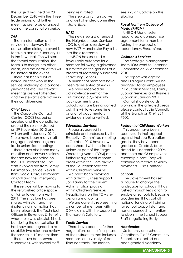the subject was held on 20 December 2010 with the three trade unions, and further meetings are to be arranged during the consultation period.

#### *SAP*

The transformation of the service is underway. The consultation dialogue event is to take place on 7 January 11 in the Town Hall. This will start the formal consultation. The team is to merge into other areas, and the detail of this will be shared at the event.

There has been a lot of individual casework in the service, including disciplinaries, grievances etc. The stewards' meetings are well attended and the stewards are active in their constituencies.

#### *Chief Execs*

The Corporate Contact Centre (CCC) has being created and the consultation around the service started on 29 November 2010 and will run until 4 January 2011. There have been many staff engagement meetings and trade union side meetings.

There have also been many question and answer sessions that are now recorded on the CCC intranet site. The staff involved are from Family Information Service, Revs & Bens, Social Care, Enviroment on Call and the Emergency Contact Team.

This service will be moving to the refurbished office space at Fujitsu Tower from April 2011. The structure has been shared with staff and the ringfencing information has been released. The Technical Officers in Revenues & Benefits whose role was disestablished, but during the consultation it had now been agreed to reestablish two roles and review the service in 12 months time.

There have been several suspensions, with several staff being reinstated.

The stewards run an active and well attended committee. *Jane Slater*

#### *HATS*

The new steward attended the Neighbourhood Services JCC to get an overview of how HATS Manchester Fayre fits into the directorate.

UNISON has secured a favourable outcome for a member following a grievance submitted on the grounds of a breach of Maternity & Parental Leave Regulations.

A number of members have been represented at AMRs.

We have received an acknowledgement of the outstanding 6.7% flexibility back payments and calculations are being worked out; this will take some time as a lot of documentary evidence is being verified.

#### *Education Services*

Proposals agreed in principle and endorsed by the Executive Committee meeting in October 2010 have now been shared with the Trade Unions as part of the Target Operating Model (TOM) of the further realignment of some areas within the Core division of the Education Services within Children's Services.

We have been provided with a draft Business Support Job Family for the current Administration provision within Children's Services. Negotiations on the TOMs redesign are ongoing

We are currently representing a number of members with DDA claims with the support of Thompson's Solicitors.

#### *Youth Service*

There have been no further negotiations on the final phase of the restructure that includes members on a variety of part time contracts. The Branch

seeking an update on this situation

#### *Royal Northern College of Music (RNCM)*

UNISON Manchester negotiated a compromise agreement for a member facing the prospect of redundancy. *Rena Wood*

#### *Children's Services*

The Strategic Management Team TOM went to Personnel Committee on 22 december 2010.

The report was agreed and Dialogue Events will be arranged for all employees in Education Services, Family Support Services and Business Support in January 2011.

Can all shop stewards working in the affected areas please contact Julie Connolly at the Branch on 0161 254 7500.

#### *Residential Childcare Workers*

This group have been successful in their appeal against theirJob Evaluation grade. They have been graded at Grade 6, backdated to 1 december 2009, and there are 93 employees currently in post. They will continue to receive flexibility payments. *Julie Connolly*

#### *Schools*

The government has set a course to change the landscape for schools. It has rushed through legislation to enable all schools to become academies. It has cut all national funding of training for school support staff and has announced its intention to abolish the School Support Staff Negotiating Body.

#### *Academies*

So far only one school, Cheetham C of E Community School, has applied and been granted Academy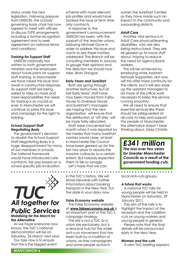status under the new legislation. Following pressure from UNISON, the schools' governing body chair has now agreed to meet with officers to discuss TUPE arrangements including a formal recognition agreement and to seek agreement on national terms and conditions.

#### *Training for Support Staff*

UNISON nationally has written to both government ministers and the employers about future plans for support staff training. In Manchester we have raised this issue and await a constructive response. As support staff are being asked to take on more and more responsibilities the need for training is as crucial as ever. In Manchester we will continue to press this issue and campaign for the right to training.

#### *School Support Staff Negotiating Body*

The government's decision to abolish the School Support Staff Negotiating Body is a huge disappointment for many of our members in schools. The national framework would have introduced core contracts, fair pay based on a school specific job evaluation

TUC *All together for Public Services Mobilising for the March for the Alternative*

As we hope everyone now knows, the TUC's national demonstration will be on Saturday, 26 March next year.

Our task now is to ensure that this is the biggest event scheme with more relevant job profiles and would have tackled the issue of term time only contracts.

In response to the government's announcement UNISON has been, with the support of the teacher unions, lobbying Michael Gove in order to address this issue and wants to see these matters addressed. The Branch will be consulting members in January to gauge their opinions and the direction we should now take. *Brian Stangoe*

#### *Early Years and SureStart*

Both are going through another restructure, but at last Early Years' staff have now been moved from Fujitsu House to Overseas House and SureStart's managers are hoping that the new organisation will ensure that the distribution of 'off sites' will be more fairly allocated.

Staff were concerned last month when it was reported by the media that many SureStart centres would close, at least in Manchester the Council have been geared up for the last two years to absorb the massive cutbacks to a certain extent. But nobody expected them to be so savage.

Let's hope that we can

in the TUC's history. We will email stewards with further information about booking transport in the New Year. Put the date in your diary now.

#### *False Economy website*

The False Economy website at **www.falseeconomy.org.uk** is an important part of the TUC's campaign strategy.

The site is not a TUC or a union site exclusively, but is a resource hub for the wider anti-cuts movement that has been built by a coalition of unions, on-line campaigners and some people active in

sustain the SureStart Centres as they have made such an impact in the community and surrounding districts.

#### *Adult Care*

Another vital service is in Adult Care physical/learning disabilities, who are also being restructured. They are all geared up to move staff about, hoping to reduce the need for agency/bank workers.

This will be achieved by employing more Assistant Network Supporters. Not only will this offer more continuity for the clients, but it will also ease up the assistant managers to do more of the office work necessary to keep the service running smoothly.

We all need to ensure that essential services like these should be safeguarded at all costs to help and support the people of Manchester; the alternative doesn't bear thinking about. *Debs Christie* 

*£341 million The loss over two years for Greater Manchester Councils as a result of the government funding cuts.*

. . . . . . . . . . . . . . . . .

local anti-cuts groups.

#### *A future that works*

A national TUC rally for young people will be held in Manchester on Saturday, 29 January 2011.

The aim of the rally is to highlight the impact of the recession and the coalition cuts on young workers and young people in general.

Please note that the final details will be announced early in the New Year.

*Women and the cuts*

A new TUC briefing explains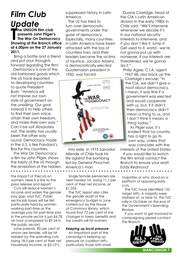# *Film Club Update*

**The UNISON film club**<br>
presents John Pilger's<br>
The War On Democracy<br>
Showing at the Branch office **he UNISON film club presents John Pilger's The War On Democracy at 6.00pm on the 27 January 2011.**

 Bring a bottle and a friend and put your thoughts forward regarding the film!

Democracy is one of the old-fashioned goods which the US have exported to developing countries; to quote President Bush: "America will not impose our own style of government on the unwilling. Our goal instead is to help others to find their own voice, attain their own freedom, and make their own way." Can it be so? Absolutely not. The reality has usually been the other way round. Democracy made in the U.S. is like Pandora's Box for tiny countries.

*The War On Democracy*, a film by John Pilger, shows the falsity of the US through the revelation of the hidden,

the impact of thecuts on women. Here is a link to the press release and report:

Cuts will reduce women's income and widen the gender pay gap, says TUC. Public sector job losses will be felt particularly hard by women working part-time as the average pay for part-time jobs in the private sector is just £6.78 an hour (compared to £9.34 in the public sector).

Lone parents, 90 per cent of whom are female, will be hit hardest by the spending cuts, losing 18.5 per cent of their net household income, or £3,121).

suppressed history in Latin America.

The US has tried to turn over democratic governments under the guise of democracy. Especially, many countries in Latin America have been attacked with the loss of countless lives, and their leaders became the victims of injustice. Jacobo Arbenz, a democratically elected Guatemalan president in 1950, was forced



into exile. In 1973 Salvador Allende of Chile took his life against the bombing led by General Pinochet, America's man.

Single female pensioners are next hardest hit, losing 11.7 per cent of their net income, or £1,326.

The TUC report also cites the gender audit of the emergency budget in June carried out by the House of Commons library, which found that 72 per cent of the changes in taxes, benefits and tax credits will hit women.

#### *Keeping up local pressure*

An important part of the campaign is keeping up pressure on coalition MPs, particularly those with small

Duane Clarridge, head of the CIA's Latin American division in the early 1980s in Chile said: "We'll intervene whenever we decide it's in our national security interests to intervene, and if you don't like it, lump it. Get used to it, world - we're not gonna put up with nonsense. If our interests are threatened, we're gonna do it."

Philip Agee, C.I.A. agent 1967-68, also back up the Clarridge's excuse: "In the CIA, we didn't give a hoot about democracy. I mean, it was fine if a government was elected and would cooperate with us, but, if it didn't, then democracy didn't mean a thing to us, and I don't think it means a thing today."

As Pilger says, it's evident that no country has a right to go its own way, unless that way coincides with the

interests of the United States. If you would like to watch the film email contact the Branch to ensure your seat! *Eddy Redmond*

majorities or who stood on a platform of opposing early cuts.

The TUC have identified 152 target MPs. A majority were lobbied at, or near to, the TUC rally in October on the eve of the Government's Spending Review.

If you want to get involved in campaigning please contact the Branch.